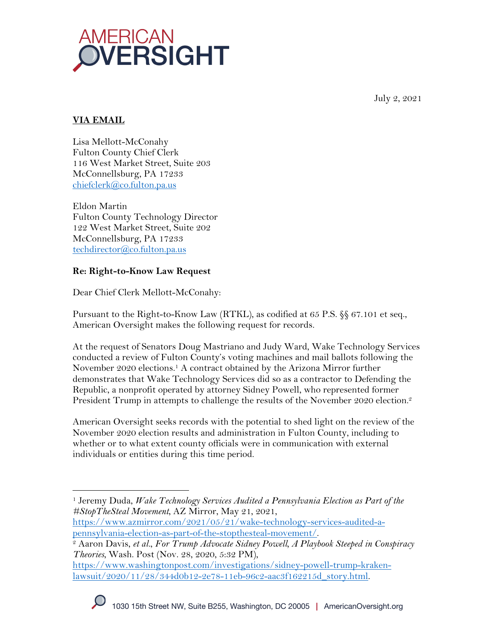

July 2, 2021

# **VIA EMAIL**

Lisa Mellott-McConahy Fulton County Chief Clerk 116 West Market Street, Suite 203 McConnellsburg, PA 17233 chiefclerk@co.fulton.pa.us

Eldon Martin Fulton County Technology Director 122 West Market Street, Suite 202 McConnellsburg, PA 17233 techdirector@co.fulton.pa.us

# **Re: Right-to-Know Law Request**

Dear Chief Clerk Mellott-McConahy:

Pursuant to the Right-to-Know Law (RTKL), as codified at 65 P.S. §§ 67.101 et seq., American Oversight makes the following request for records.

At the request of Senators Doug Mastriano and Judy Ward, Wake Technology Services conducted a review of Fulton County's voting machines and mail ballots following the November 2020 elections.1 A contract obtained by the Arizona Mirror further demonstrates that Wake Technology Services did so as a contractor to Defending the Republic, a nonprofit operated by attorney Sidney Powell, who represented former President Trump in attempts to challenge the results of the November 2020 election.<sup>2</sup>

American Oversight seeks records with the potential to shed light on the review of the November 2020 election results and administration in Fulton County, including to whether or to what extent county officials were in communication with external individuals or entities during this time period.

https://www.azmirror.com/2021/05/21/wake-technology-services-audited-apennsylvania-election-as-part-of-the-stopthesteal-movement/. 2 Aaron Davis, *et al.*, *For Trump Advocate Sidney Powell, A Playbook Steeped in Conspiracy* 

https://www.washingtonpost.com/investigations/sidney-powell-trump-krakenlawsuit/2020/11/28/344d0b12-2e78-11eb-96c2-aac3f162215d\_story.html.



<sup>1</sup> Jeremy Duda, *Wake Technology Services Audited a Pennsylvania Election as Part of the #StopTheSteal Movement*, AZ Mirror, May 21, 2021,

*Theories*, Wash. Post (Nov. 28, 2020, 5:32 PM),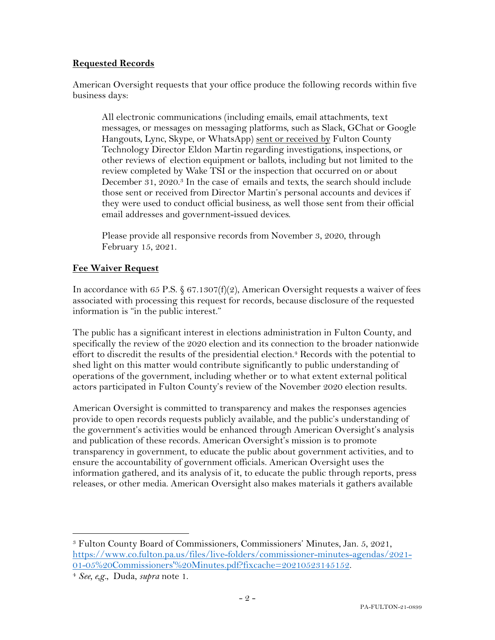### **Requested Records**

American Oversight requests that your office produce the following records within five business days:

All electronic communications (including emails, email attachments, text messages, or messages on messaging platforms, such as Slack, GChat or Google Hangouts, Lync, Skype, or WhatsApp) sent or received by Fulton County Technology Director Eldon Martin regarding investigations, inspections, or other reviews of election equipment or ballots, including but not limited to the review completed by Wake TSI or the inspection that occurred on or about December 31, 2020.<sup>3</sup> In the case of emails and texts, the search should include those sent or received from Director Martin's personal accounts and devices if they were used to conduct official business, as well those sent from their official email addresses and government-issued devices.

Please provide all responsive records from November 3, 2020, through February 15, 2021.

#### **Fee Waiver Request**

In accordance with 65 P.S.  $$ 67.1307(f)(2)$ , American Oversight requests a waiver of fees associated with processing this request for records, because disclosure of the requested information is "in the public interest."

The public has a significant interest in elections administration in Fulton County, and specifically the review of the 2020 election and its connection to the broader nationwide effort to discredit the results of the presidential election. <sup>4</sup> Records with the potential to shed light on this matter would contribute significantly to public understanding of operations of the government, including whether or to what extent external political actors participated in Fulton County's review of the November 2020 election results.

American Oversight is committed to transparency and makes the responses agencies provide to open records requests publicly available, and the public's understanding of the government's activities would be enhanced through American Oversight's analysis and publication of these records. American Oversight's mission is to promote transparency in government, to educate the public about government activities, and to ensure the accountability of government officials. American Oversight uses the information gathered, and its analysis of it, to educate the public through reports, press releases, or other media. American Oversight also makes materials it gathers available

<sup>3</sup> Fulton County Board of Commissioners, Commissioners' Minutes, Jan. 5, 2021, https://www.co.fulton.pa.us/files/live-folders/commissioner-minutes-agendas/2021- 01-05%20Commissioners'%20Minutes.pdf?fixcache=20210523145152. 4 *See, e,g.*, Duda, *supra* note 1.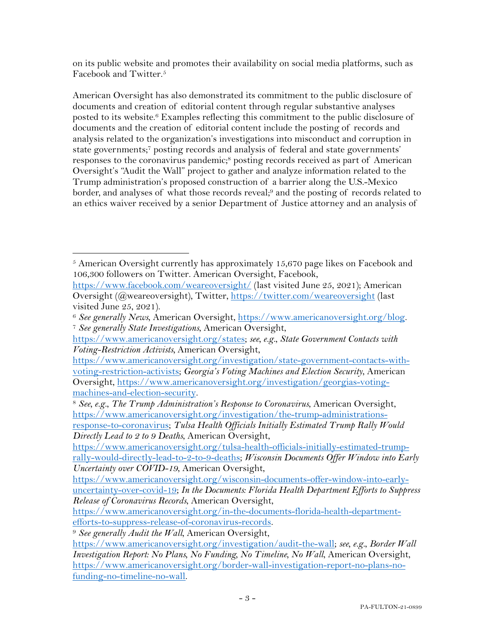on its public website and promotes their availability on social media platforms, such as Facebook and Twitter.5

American Oversight has also demonstrated its commitment to the public disclosure of documents and creation of editorial content through regular substantive analyses posted to its website.6 Examples reflecting this commitment to the public disclosure of documents and the creation of editorial content include the posting of records and analysis related to the organization's investigations into misconduct and corruption in state governments; <sup>7</sup> posting records and analysis of federal and state governments' responses to the coronavirus pandemic;<sup>8</sup> posting records received as part of American Oversight's "Audit the Wall" project to gather and analyze information related to the Trump administration's proposed construction of a barrier along the U.S.-Mexico border, and analyses of what those records reveal;<sup>9</sup> and the posting of records related to an ethics waiver received by a senior Department of Justice attorney and an analysis of

 $5$  American Oversight currently has approximately 15,670 page likes on Facebook and 106,300 followers on Twitter. American Oversight, Facebook,

https://www.facebook.com/weareoversight/ (last visited June 25, 2021); American Oversight (@weareoversight), Twitter, https://twitter.com/weareoversight (last visited June 25, 2021).

<sup>6</sup> *See generally News*, American Oversight, https://www.americanoversight.org/blog. 7 *See generally State Investigations*, American Oversight,

https://www.americanoversight.org/states; *see, e.g.*, *State Government Contacts with Voting-Restriction Activists,* American Oversight,

https://www.americanoversight.org/investigation/state-government-contacts-withvoting-restriction-activists; *Georgia's Voting Machines and Election Security*, American Oversight, https://www.americanoversight.org/investigation/georgias-voting-

machines-and-election-security. 8 *See, e.g.*, *The Trump Administration's Response to Coronavirus*, American Oversight, https://www.americanoversight.org/investigation/the-trump-administrations-

response-to-coronavirus; *Tulsa Health Officials Initially Estimated Trump Rally Would Directly Lead to 2 to 9 Deaths*, American Oversight,

https://www.americanoversight.org/tulsa-health-officials-initially-estimated-trumprally-would-directly-lead-to-2-to-9-deaths; *Wisconsin Documents Offer Window into Early Uncertainty over COVID-19*, American Oversight,

https://www.americanoversight.org/wisconsin-documents-offer-window-into-earlyuncertainty-over-covid-19; *In the Documents: Florida Health Department Efforts to Suppress Release of Coronavirus Records*, American Oversight,

https://www.americanoversight.org/in-the-documents-florida-health-departmentefforts-to-suppress-release-of-coronavirus-records. 9 *See generally Audit the Wall*, American Oversight,

https://www.americanoversight.org/investigation/audit-the-wall; *see, e.g.*, *Border Wall Investigation Report: No Plans, No Funding, No Timeline, No Wall*, American Oversight, https://www.americanoversight.org/border-wall-investigation-report-no-plans-nofunding-no-timeline-no-wall.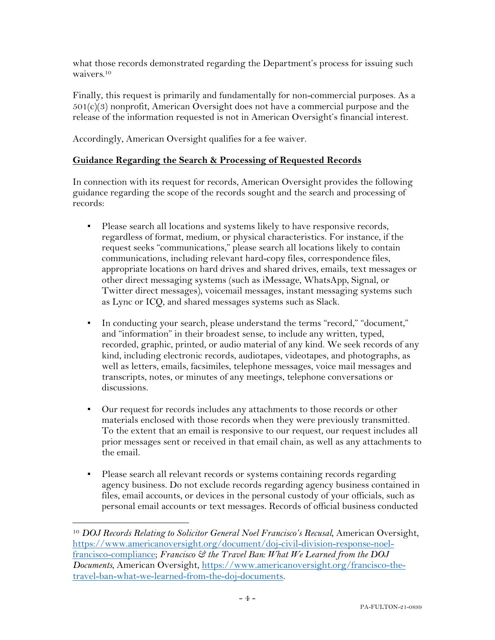what those records demonstrated regarding the Department's process for issuing such waivers.10

Finally, this request is primarily and fundamentally for non-commercial purposes. As a  $501(c)(3)$  nonprofit, American Oversight does not have a commercial purpose and the release of the information requested is not in American Oversight's financial interest.

Accordingly, American Oversight qualifies for a fee waiver.

#### **Guidance Regarding the Search & Processing of Requested Records**

In connection with its request for records, American Oversight provides the following guidance regarding the scope of the records sought and the search and processing of records:

- Please search all locations and systems likely to have responsive records, regardless of format, medium, or physical characteristics. For instance, if the request seeks "communications," please search all locations likely to contain communications, including relevant hard-copy files, correspondence files, appropriate locations on hard drives and shared drives, emails, text messages or other direct messaging systems (such as iMessage, WhatsApp, Signal, or Twitter direct messages), voicemail messages, instant messaging systems such as Lync or ICQ, and shared messages systems such as Slack.
- In conducting your search, please understand the terms "record," "document," and "information" in their broadest sense, to include any written, typed, recorded, graphic, printed, or audio material of any kind. We seek records of any kind, including electronic records, audiotapes, videotapes, and photographs, as well as letters, emails, facsimiles, telephone messages, voice mail messages and transcripts, notes, or minutes of any meetings, telephone conversations or discussions.
- Our request for records includes any attachments to those records or other materials enclosed with those records when they were previously transmitted. To the extent that an email is responsive to our request, our request includes all prior messages sent or received in that email chain, as well as any attachments to the email.
- Please search all relevant records or systems containing records regarding agency business. Do not exclude records regarding agency business contained in files, email accounts, or devices in the personal custody of your officials, such as personal email accounts or text messages. Records of official business conducted

<sup>10</sup> *DOJ Records Relating to Solicitor General Noel Francisco's Recusal*, American Oversight, https://www.americanoversight.org/document/doj-civil-division-response-noelfrancisco-compliance; *Francisco & the Travel Ban: What We Learned from the DOJ Documents*, American Oversight, https://www.americanoversight.org/francisco-thetravel-ban-what-we-learned-from-the-doj-documents.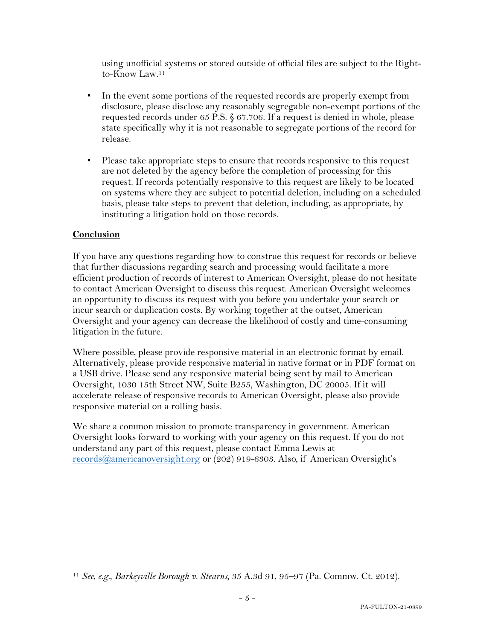using unofficial systems or stored outside of official files are subject to the Rightto-Know Law.11

- In the event some portions of the requested records are properly exempt from disclosure, please disclose any reasonably segregable non-exempt portions of the requested records under 65 P.S. § 67.706. If a request is denied in whole, please state specifically why it is not reasonable to segregate portions of the record for release.
- Please take appropriate steps to ensure that records responsive to this request are not deleted by the agency before the completion of processing for this request. If records potentially responsive to this request are likely to be located on systems where they are subject to potential deletion, including on a scheduled basis, please take steps to prevent that deletion, including, as appropriate, by instituting a litigation hold on those records.

### **Conclusion**

If you have any questions regarding how to construe this request for records or believe that further discussions regarding search and processing would facilitate a more efficient production of records of interest to American Oversight, please do not hesitate to contact American Oversight to discuss this request. American Oversight welcomes an opportunity to discuss its request with you before you undertake your search or incur search or duplication costs. By working together at the outset, American Oversight and your agency can decrease the likelihood of costly and time-consuming litigation in the future.

Where possible, please provide responsive material in an electronic format by email. Alternatively, please provide responsive material in native format or in PDF format on a USB drive. Please send any responsive material being sent by mail to American Oversight, 1030 15th Street NW, Suite B255, Washington, DC 20005. If it will accelerate release of responsive records to American Oversight, please also provide responsive material on a rolling basis.

We share a common mission to promote transparency in government. American Oversight looks forward to working with your agency on this request. If you do not understand any part of this request, please contact Emma Lewis at records@americanoversight.org or (202) 919-6303. Also, if American Oversight's

<sup>11</sup> *See, e.g.*, *Barkeyville Borough v. Stearns*, 35 A.3d 91, 95–97 (Pa. Commw. Ct. 2012).